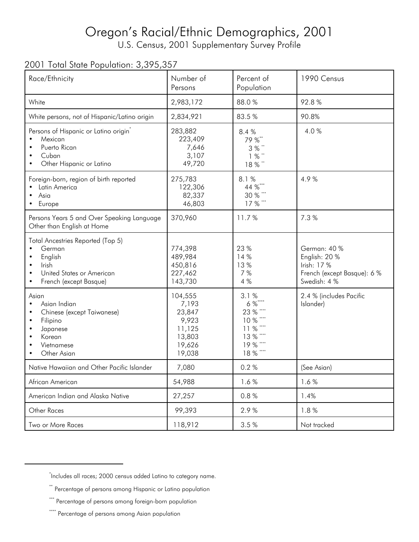## Oregon's Racial/Ethnic Demographics, 2001

U.S. Census, 2001 Supplementary Survey Profile

## 2001 Total State Population: 3,395,357

| Race/Ethnicity                                                                                                         | Number of<br>Persons                                                        | Percent of<br>Population                                                                         | 1990 Census                                                                                 |
|------------------------------------------------------------------------------------------------------------------------|-----------------------------------------------------------------------------|--------------------------------------------------------------------------------------------------|---------------------------------------------------------------------------------------------|
| White                                                                                                                  | 2,983,172                                                                   | 88.0%                                                                                            | 92.8%                                                                                       |
| White persons, not of Hispanic/Latino origin                                                                           | 2,834,921                                                                   | 83.5%                                                                                            | 90.8%                                                                                       |
| Persons of Hispanic or Latino origin <sup>7</sup><br>Mexican<br>Puerto Rican<br>Cuban<br>Other Hispanic or Latino      | 283,882<br>223,409<br>7,646<br>3,107<br>49,720                              | 8.4%<br>79 %**<br>3 % **<br>1%<br>18%"                                                           | 4.0%                                                                                        |
| Foreign-born, region of birth reported<br>Latin America<br>Asia<br>• Europe                                            | 275,783<br>122,306<br>82,337<br>46,803                                      | 8.1%<br>44 %***<br>30 % ***<br>17 % ***                                                          | 4.9%                                                                                        |
| Persons Years 5 and Over Speaking Language<br>Other than English at Home                                               | 370,960                                                                     | 11.7%                                                                                            | 7.3%                                                                                        |
| Total Ancestries Reported (Top 5)<br>German<br>English<br>Irish<br>United States or American<br>French (except Basque) | 774,398<br>489,984<br>450,816<br>227,462<br>143,730                         | 23 %<br>14 %<br>13%<br>7 %<br>4 %                                                                | German: 40 %<br>English: 20 %<br>Irish: 17 %<br>French (except Basque): 6 %<br>Swedish: 4 % |
| Asian<br>Asian Indian<br>Chinese (except Taiwanese)<br>Filipino<br>Japanese<br>Korean<br>Vietnamese<br>Other Asian     | 104,555<br>7,193<br>23,847<br>9,923<br>11,125<br>13,803<br>19,626<br>19,038 | 3.1%<br>$6\%$ ****<br>23 % ****<br>10 % ****<br>11 % ****<br>13 % ****<br>19 % ****<br>18 % **** | 2.4 % (includes Pacific<br>Islander)                                                        |
| Native Hawaiian and Other Pacific Islander                                                                             | 7,080                                                                       | 0.2%                                                                                             | (See Asian)                                                                                 |
| African American                                                                                                       | 54,988                                                                      | 1.6%                                                                                             | 1.6%                                                                                        |
| American Indian and Alaska Native                                                                                      | 27,257                                                                      | 0.8%                                                                                             | 1.4%                                                                                        |
| Other Races                                                                                                            | 99,393                                                                      | 2.9%                                                                                             | 1.8%                                                                                        |
| Two or More Races                                                                                                      | 118,912                                                                     | 3.5 %                                                                                            | Not tracked                                                                                 |

<sup>\*</sup> Includes all races; 2000 census added Latino to category name.

<sup>\*\*</sup> Percentage of persons among Hispanic or Latino population

<sup>\*\*\*</sup> Percentage of persons among foreign-born population

<sup>\*\*\*\*</sup> Percentage of persons among Asian population